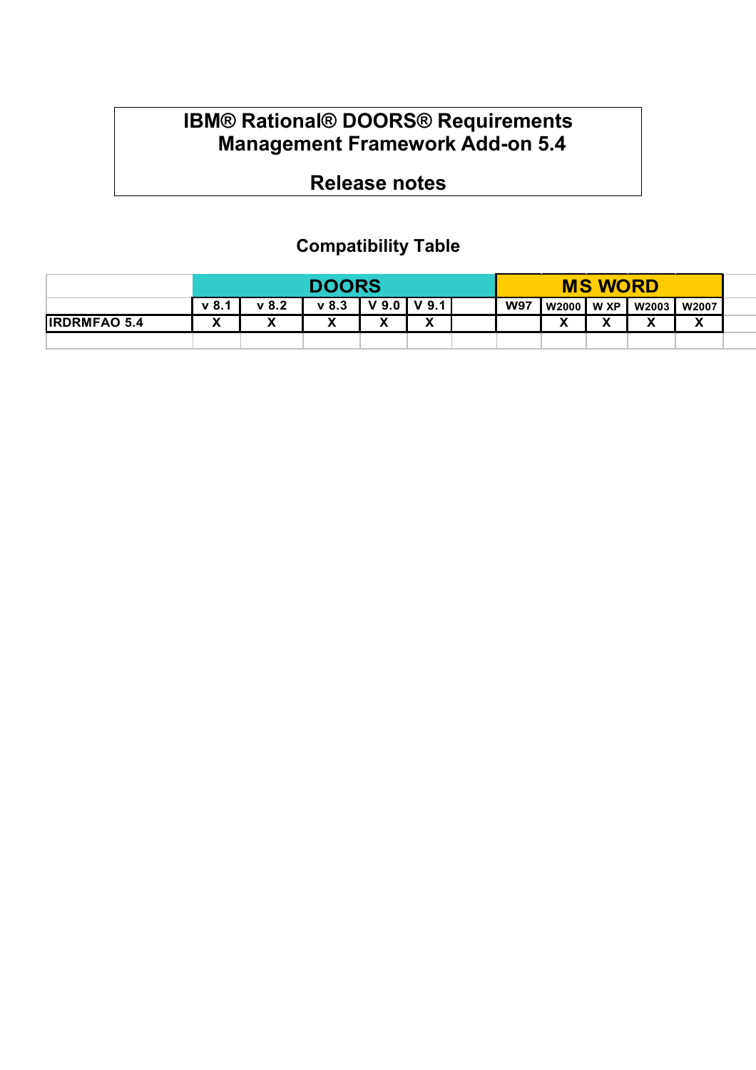### **IBM® Rational® DOORS® Requirements Management Framework Add-on 5.4**

# **Release notes**

## **Compatibility Table**

|                     |       | <b>DOORS</b>      |                   |                   |                   |  |            | <b>MS WORD</b>      |                |                   |                            |  |
|---------------------|-------|-------------------|-------------------|-------------------|-------------------|--|------------|---------------------|----------------|-------------------|----------------------------|--|
|                     | v 8.1 | v 8.2             | $v$ 8.3           | V 9.0 I           | $V$ 9.1           |  | <b>W97</b> | W2000               | W XP           | <b>W2003</b>      | <b>W2007</b>               |  |
| <b>IRDRMFAO 5.4</b> | v     | $\mathbf{v}$<br>Λ | $\mathbf{v}$<br>Λ | $\mathbf{v}$<br>́ | $\mathbf{v}$<br>Λ |  |            | $\blacksquare$<br>" | $\blacksquare$ | $\mathbf{v}$<br>Λ | $\mathbf{v}$<br>$\sqrt{ }$ |  |
|                     |       |                   |                   |                   |                   |  |            |                     |                |                   |                            |  |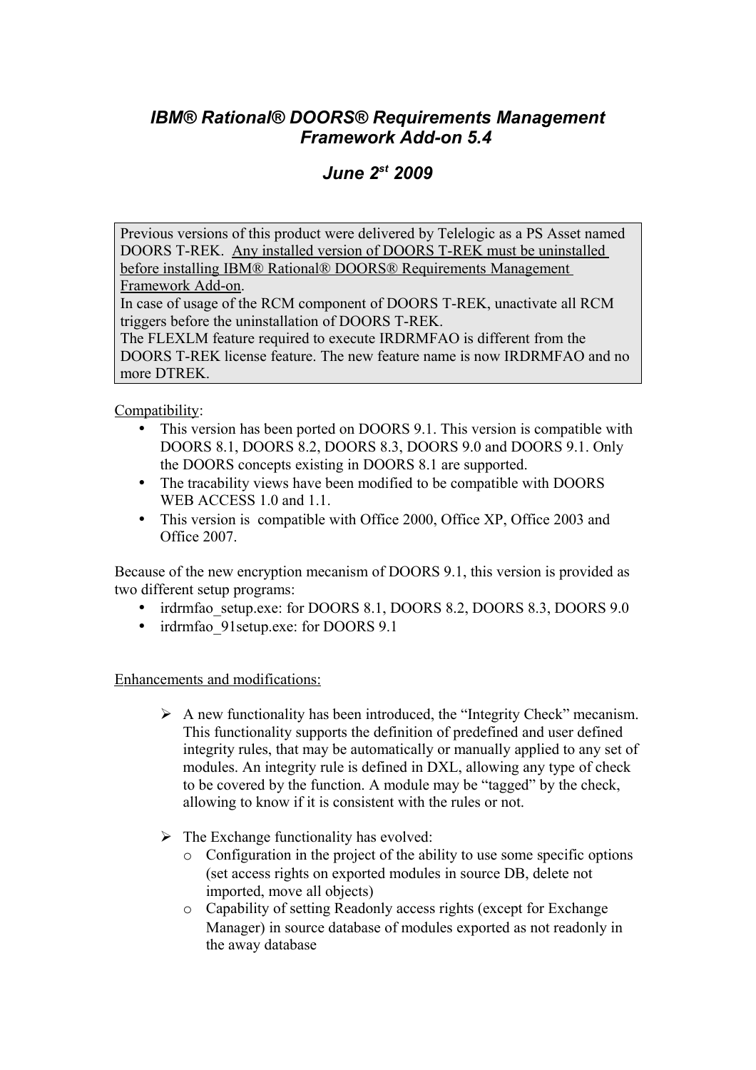#### *IBM® Rational® DOORS® Requirements Management Framework Add-on 5.4*

#### *June 2st 2009*

Previous versions of this product were delivered by Telelogic as a PS Asset named DOORS T-REK. Any installed version of DOORS T-REK must be uninstalled before installing IBM® Rational® DOORS® Requirements Management Framework Add-on.

In case of usage of the RCM component of DOORS T-REK, unactivate all RCM triggers before the uninstallation of DOORS T-REK.

The FLEXLM feature required to execute IRDRMFAO is different from the DOORS T-REK license feature. The new feature name is now IRDRMFAO and no more DTREK

Compatibility:

- This version has been ported on DOORS 9.1. This version is compatible with DOORS 8.1, DOORS 8.2, DOORS 8.3, DOORS 9.0 and DOORS 9.1. Only the DOORS concepts existing in DOORS 8.1 are supported.
- The tracability views have been modified to be compatible with DOORS WEB ACCESS 1.0 and 1.1.
- This version is compatible with Office 2000, Office XP, Office 2003 and Office 2007.

Because of the new encryption mecanism of DOORS 9.1, this version is provided as two different setup programs:

- irdrmfao setup.exe: for DOORS 8.1, DOORS 8.2, DOORS 8.3, DOORS 9.0
- irdrmfao 91 setup.exe: for DOORS 9.1

Enhancements and modifications:

- $\triangleright$  A new functionality has been introduced, the "Integrity Check" mecanism. This functionality supports the definition of predefined and user defined integrity rules, that may be automatically or manually applied to any set of modules. An integrity rule is defined in DXL, allowing any type of check to be covered by the function. A module may be "tagged" by the check, allowing to know if it is consistent with the rules or not.
- $\triangleright$  The Exchange functionality has evolved:
	- o Configuration in the project of the ability to use some specific options (set access rights on exported modules in source DB, delete not imported, move all objects)
	- o Capability of setting Readonly access rights (except for Exchange Manager) in source database of modules exported as not readonly in the away database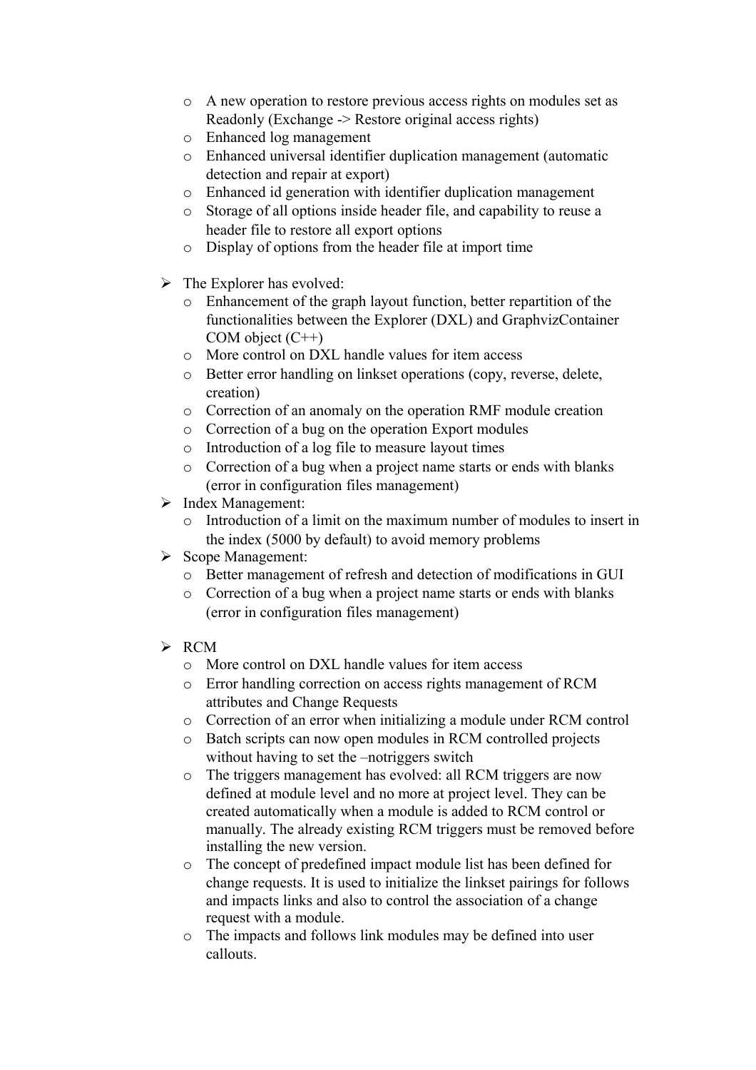- o A new operation to restore previous access rights on modules set as Readonly (Exchange -> Restore original access rights)
- o Enhanced log management
- o Enhanced universal identifier duplication management (automatic detection and repair at export)
- o Enhanced id generation with identifier duplication management
- o Storage of all options inside header file, and capability to reuse a header file to restore all export options
- o Display of options from the header file at import time
- $\triangleright$  The Explorer has evolved:
	- o Enhancement of the graph layout function, better repartition of the functionalities between the Explorer (DXL) and GraphvizContainer COM object  $(C^{++})$
	- o More control on DXL handle values for item access
	- o Better error handling on linkset operations (copy, reverse, delete, creation)
	- o Correction of an anomaly on the operation RMF module creation
	- o Correction of a bug on the operation Export modules
	- o Introduction of a log file to measure layout times
	- o Correction of a bug when a project name starts or ends with blanks (error in configuration files management)
- $\triangleright$  Index Management:
	- o Introduction of a limit on the maximum number of modules to insert in the index (5000 by default) to avoid memory problems
- $\triangleright$  Scope Management:
	- o Better management of refresh and detection of modifications in GUI
	- o Correction of a bug when a project name starts or ends with blanks (error in configuration files management)
- $\triangleright$  RCM
	- o More control on DXL handle values for item access
	- o Error handling correction on access rights management of RCM attributes and Change Requests
	- o Correction of an error when initializing a module under RCM control
	- o Batch scripts can now open modules in RCM controlled projects without having to set the –notriggers switch
	- o The triggers management has evolved: all RCM triggers are now defined at module level and no more at project level. They can be created automatically when a module is added to RCM control or manually. The already existing RCM triggers must be removed before installing the new version.
	- o The concept of predefined impact module list has been defined for change requests. It is used to initialize the linkset pairings for follows and impacts links and also to control the association of a change request with a module.
	- o The impacts and follows link modules may be defined into user callouts.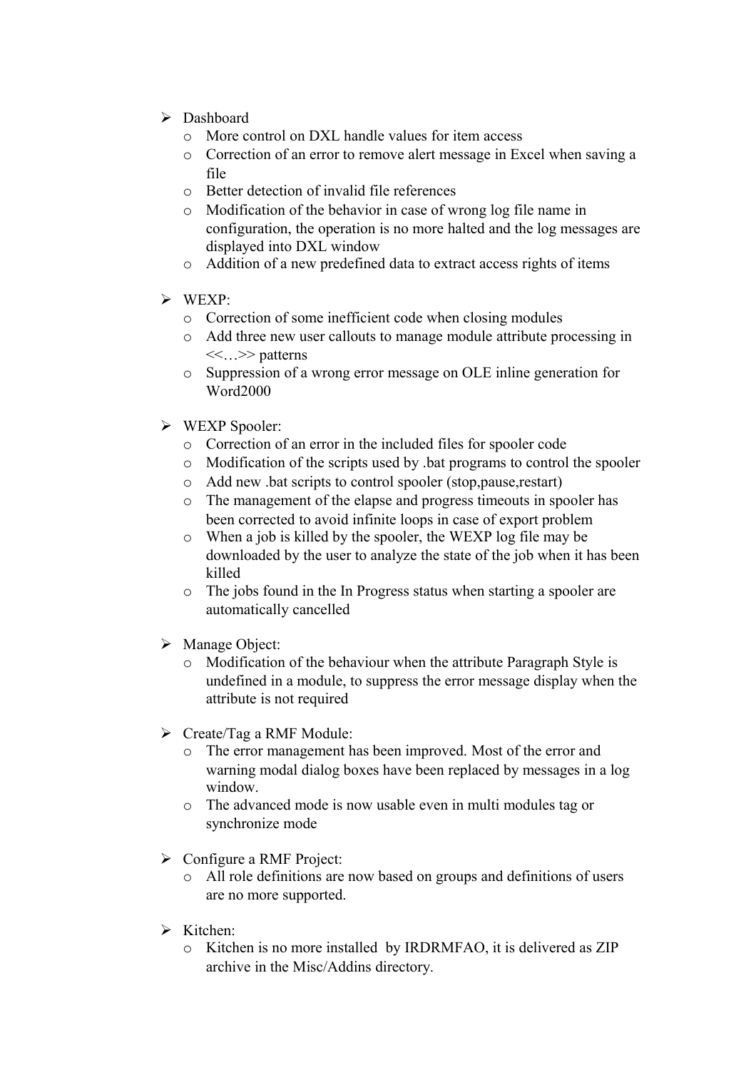- > Dashboard
	- o More control on DXL handle values for item access
	- o Correction of an error to remove alert message in Excel when saving a file
	- o Better detection of invalid file references
	- o Modification of the behavior in case of wrong log file name in configuration, the operation is no more halted and the log messages are displayed into DXL window
	- o Addition of a new predefined data to extract access rights of items
- $\triangleright$  WEXP:
	- o Correction of some inefficient code when closing modules
	- o Add three new user callouts to manage module attribute processing in <<…>> patterns
	- o Suppression of a wrong error message on OLE inline generation for Word2000
- WEXP Spooler:
	- o Correction of an error in the included files for spooler code
	- o Modification of the scripts used by .bat programs to control the spooler
	- o Add new .bat scripts to control spooler (stop,pause,restart)
	- o The management of the elapse and progress timeouts in spooler has been corrected to avoid infinite loops in case of export problem
	- o When a job is killed by the spooler, the WEXP log file may be downloaded by the user to analyze the state of the job when it has been killed
	- o The jobs found in the In Progress status when starting a spooler are automatically cancelled
- > Manage Object:
	- o Modification of the behaviour when the attribute Paragraph Style is undefined in a module, to suppress the error message display when the attribute is not required
- Create/Tag a RMF Module:
	- o The error management has been improved. Most of the error and warning modal dialog boxes have been replaced by messages in a log window.
	- o The advanced mode is now usable even in multi modules tag or synchronize mode
- $\triangleright$  Configure a RMF Project:
	- o All role definitions are now based on groups and definitions of users are no more supported.
- $\triangleright$  Kitchen:
	- o Kitchen is no more installed by IRDRMFAO, it is delivered as ZIP archive in the Misc/Addins directory.